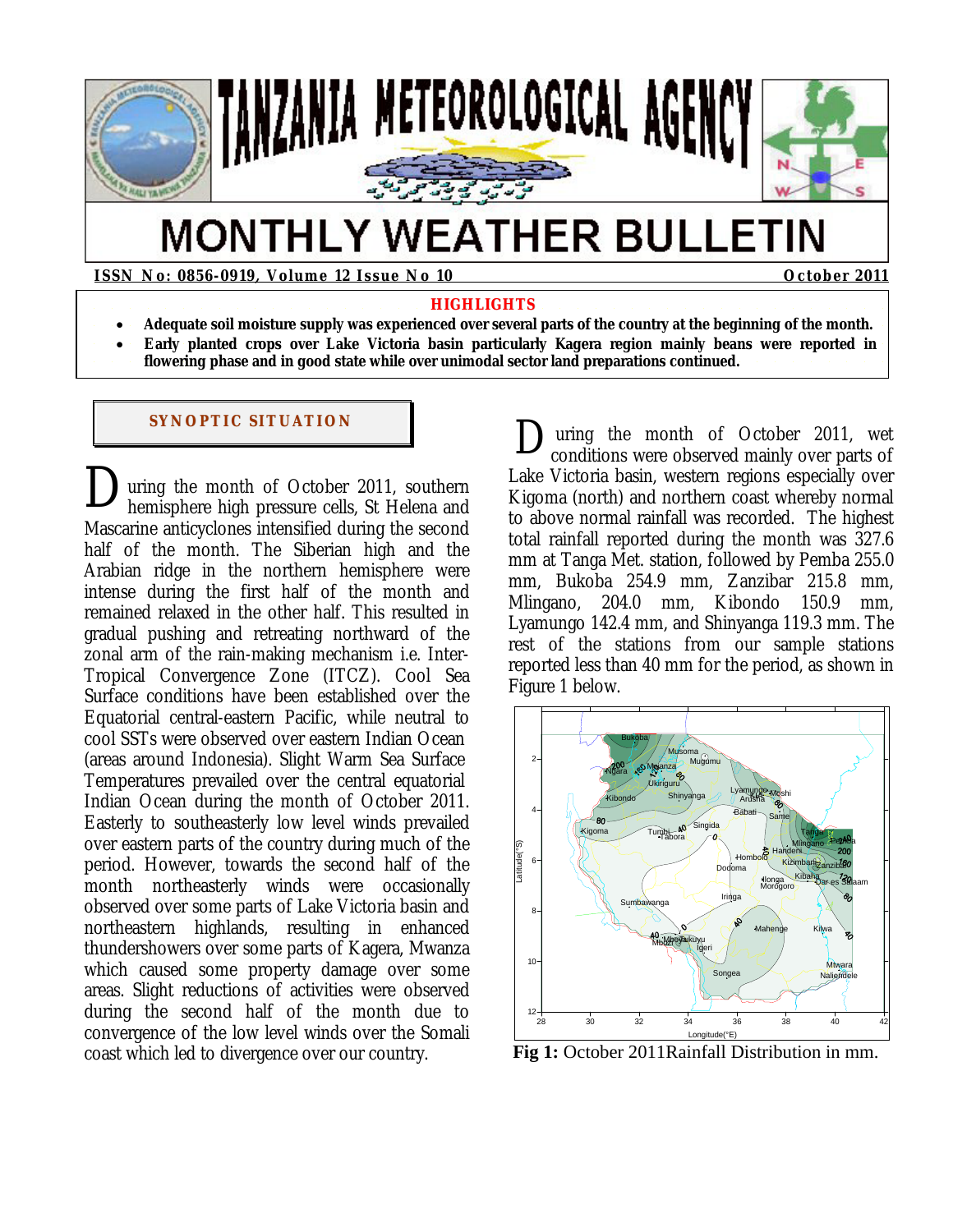

# **MONTHLY WEATHER BULLETIN**

**ISSN No: 0856-0919, Volume 12 Issue No 10 October 2011** 

#### **HIGHLIGHTS**

- **Adequate soil moisture supply was experienced over several parts of the country at the beginning of the month.**
- **Early planted crops over Lake Victoria basin particularly Kagera region mainly beans were reported in flowering phase and in good state while over unimodal sector land preparations continued.**

#### **SYNOPTIC SITUATION**

uring the month of October 2011, southern hemisphere high pressure cells, St Helena and Mascarine anticyclones intensified during the second half of the month. The Siberian high and the Arabian ridge in the northern hemisphere were intense during the first half of the month and remained relaxed in the other half. This resulted in gradual pushing and retreating northward of the zonal arm of the rain-making mechanism i.e. Inter-Tropical Convergence Zone (ITCZ). Cool Sea Surface conditions have been established over the Equatorial central-eastern Pacific, while neutral to cool SSTs were observed over eastern Indian Ocean (areas around Indonesia). Slight Warm Sea Surface Temperatures prevailed over the central equatorial Indian Ocean during the month of October 2011. Easterly to southeasterly low level winds prevailed over eastern parts of the country during much of the period. However, towards the second half of the month northeasterly winds were occasionally observed over some parts of Lake Victoria basin and northeastern highlands, resulting in enhanced thundershowers over some parts of Kagera, Mwanza which caused some property damage over some areas. Slight reductions of activities were observed during the second half of the month due to convergence of the low level winds over the Somali coast which led to divergence over our country.  $\sum_{h}$ 

 uring the month of October 2011, wet conditions were observed mainly over parts of Lake Victoria basin, western regions especially over Kigoma (north) and northern coast whereby normal to above normal rainfall was recorded. The highest total rainfall reported during the month was 327.6 mm at Tanga Met. station, followed by Pemba 255.0 mm, Bukoba 254.9 mm, Zanzibar 215.8 mm, Mlingano, 204.0 mm, Kibondo 150.9 mm, Lyamungo 142.4 mm, and Shinyanga 119.3 mm. The rest of the stations from our sample stations reported less than 40 mm for the period, as shown in Figure 1 below. D



**Fig 1:** October 2011Rainfall Distribution in mm.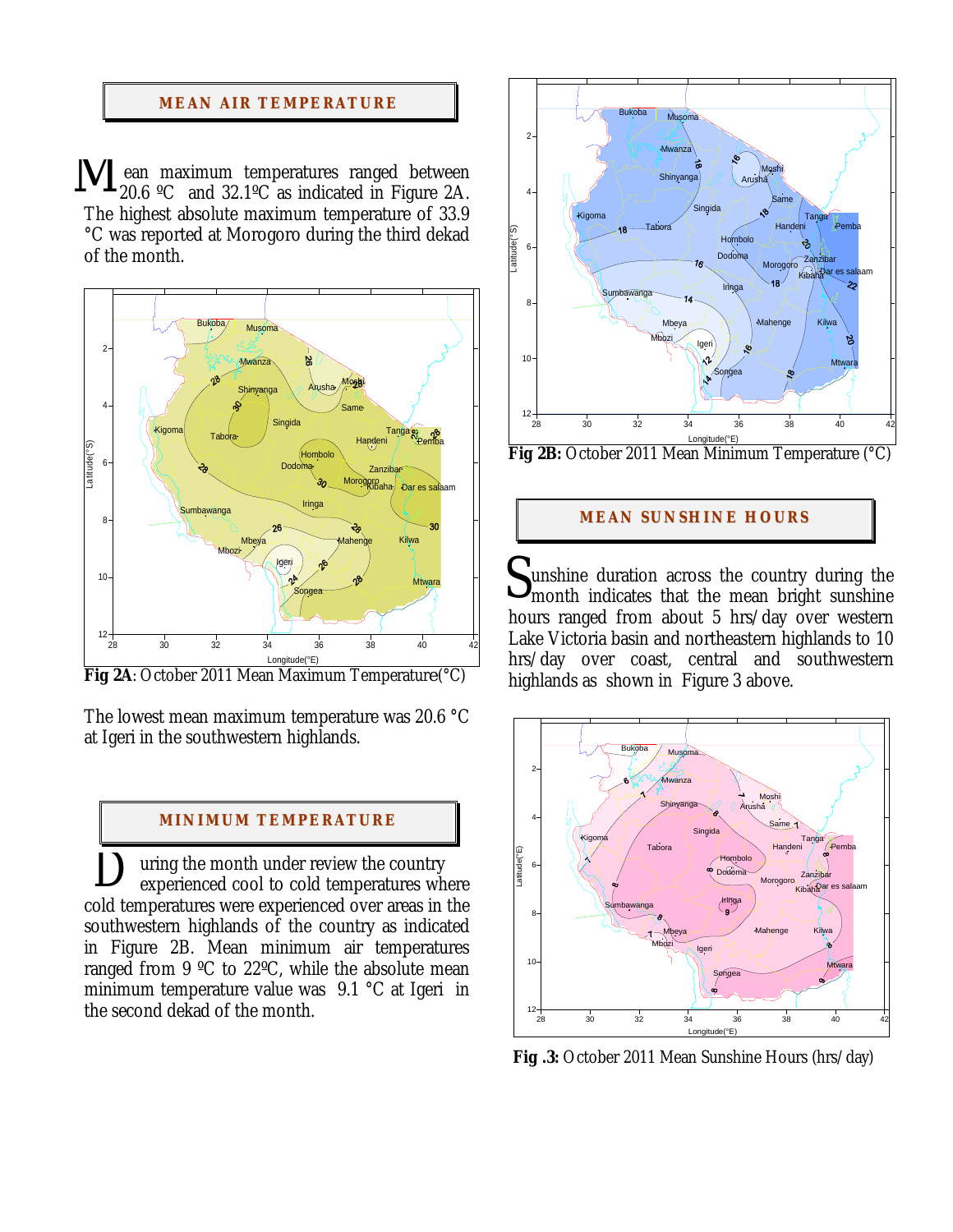## **MEAN AIR TEMPERATURE**

 ean maximum temperatures ranged between 20.6 °C and  $32.1$ °C as indicated in Figure 2A. The highest absolute maximum temperature of 33.9 °C was reported at Morogoro during the third dekad of the month. M



**Fig 2A**: October 2011 Mean Maximum Temperatur*e* (°C)

The lowest mean maximum temperature was 20.6 °C at Igeri in the southwestern highlands.

#### **MI NI MUM TEMPERATURE**

 uring the month under review the country experienced cool to cold temperatures where cold temperatures were experienced over areas in the southwestern highlands of the country as indicated in Figure 2B. Mean minimum air temperatures ranged from 9 ºC to 22ºC, while the absolute mean minimum temperature value was 9.1 °C at Igeri in the second dekad of the month.  $\sum_{\alpha}$ 



**Fig 2B:** October 2011 Mean Minimum Temperature (°C)

#### **MEAN SUNSHINE HOURS**

unshine duration across the country during the month indicates that the mean bright sunshine hours ranged from about 5 hrs/day over western Lake Victoria basin and northeastern highlands to 10 hrs/day over coast, central and southwestern highlands as shown in Figure 3 above. S



**Fig .3:** October 2011 Mean Sunshine Hours (hrs/day)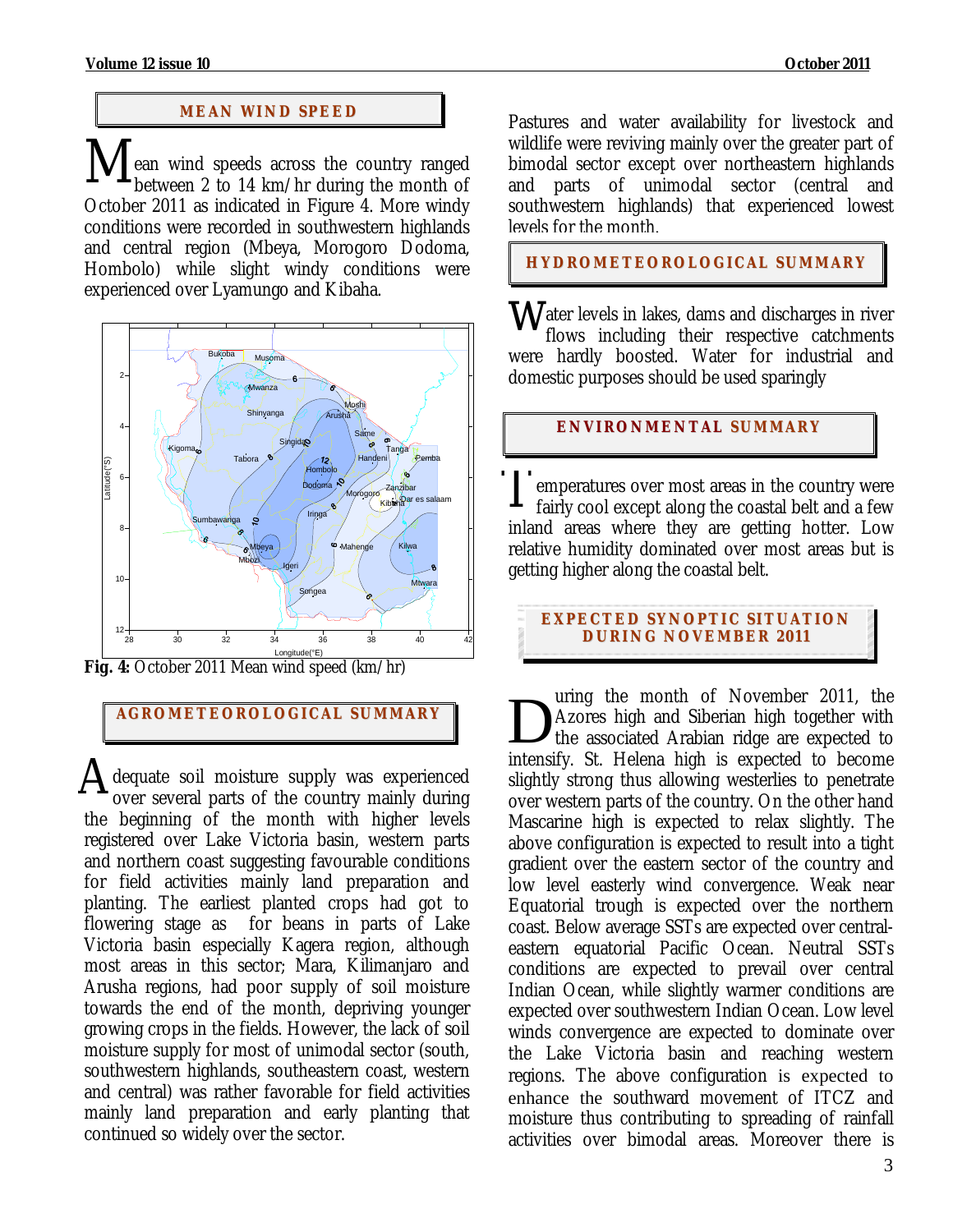# **MEAN WI ND SPEED**

ean wind speeds across the country ranged between 2 to 14 km/hr during the month of October 2011 as indicated in Figure 4. More windy conditions were recorded in southwestern highlands and central region (Mbeya, Morogoro Dodoma, Hombolo) while slight windy conditions were experienced over Lyamungo and Kibaha. M



**Fig. 4:** October 2011 Mean wind speed (km/hr)

# **AGROMETEOROLOGICAL SUMMARY**

dequate soil moisture supply was experienced over several parts of the country mainly during the beginning of the month with higher levels registered over Lake Victoria basin, western parts and northern coast suggesting favourable conditions for field activities mainly land preparation and planting. The earliest planted crops had got to flowering stage as for beans in parts of Lake Victoria basin especially Kagera region, although most areas in this sector; Mara, Kilimanjaro and Arusha regions, had poor supply of soil moisture towards the end of the month, depriving younger growing crops in the fields. However, the lack of soil moisture supply for most of unimodal sector (south, southwestern highlands, southeastern coast, western and central) was rather favorable for field activities mainly land preparation and early planting that continued so widely over the sector. A

Pastures and water availability for livestock and wildlife were reviving mainly over the greater part of bimodal sector except over northeastern highlands and parts of unimodal sector (central and southwestern highlands) that experienced lowest levels for the month.

**HYDROMETEOROLOGICAL SUMMARY**

ater levels in lakes, dams and discharges in river flows including their respective catchments were hardly boosted. Water for industrial and domestic purposes should be used sparingly w

# **ENVIRONMENTAL SUMMARY**

emperatures over most areas in the country were fairly cool except along the coastal belt and a few inland areas where they are getting hotter. Low relative humidity dominated over most areas but is getting higher along the coastal belt.  $\prod$ 

**EXPECTED SYNOPTIC SITUATION DURI NG NOVEMBER 2011**

uring the month of November 2011, the Azores high and Siberian high together with the associated Arabian ridge are expected to intensify. St. Helena high is expected to become slightly strong thus allowing westerlies to penetrate over western parts of the country. On the other hand Mascarine high is expected to relax slightly. The above configuration is expected to result into a tight gradient over the eastern sector of the country and low level easterly wind convergence. Weak near Equatorial trough is expected over the northern coast. Below average SSTs are expected over centraleastern equatorial Pacific Ocean. Neutral SSTs conditions are expected to prevail over central Indian Ocean, while slightly warmer conditions are expected over southwestern Indian Ocean. Low level winds convergence are expected to dominate over the Lake Victoria basin and reaching western regions. The above configuration is expected to enhance the southward movement of ITCZ and moisture thus contributing to spreading of rainfall activities over bimodal areas. Moreover there is D